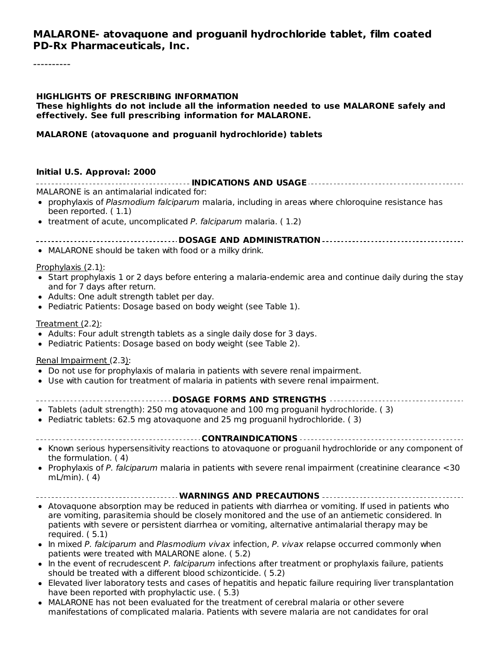#### **MALARONE- atovaquone and proguanil hydrochloride tablet, film coated PD-Rx Pharmaceuticals, Inc.**

#### **HIGHLIGHTS OF PRESCRIBING INFORMATION**

**These highlights do not include all the information needed to use MALARONE safely and effectively. See full prescribing information for MALARONE.**

#### **MALARONE (atovaquone and proguanil hydrochloride) tablets**

#### **Initial U.S. Approval: 2000**

**INDICATIONS AND USAGE** MALARONE is an antimalarial indicated for:

- prophylaxis of Plasmodium falciparum malaria, including in areas where chloroquine resistance has been reported. ( 1.1)
- $\bullet$  treatment of acute, uncomplicated P. falciparum malaria. (1.2)
- **DOSAGE AND ADMINISTRATION**
- MALARONE should be taken with food or a milky drink.

#### Prophylaxis (2.1):

- Start prophylaxis 1 or 2 days before entering a malaria-endemic area and continue daily during the stay and for 7 days after return.
- Adults: One adult strength tablet per day.
- Pediatric Patients: Dosage based on body weight (see Table 1).

#### Treatment (2.2):

- Adults: Four adult strength tablets as a single daily dose for 3 days.
- Pediatric Patients: Dosage based on body weight (see Table 2).

#### Renal Impairment (2.3):

- Do not use for prophylaxis of malaria in patients with severe renal impairment.
- Use with caution for treatment of malaria in patients with severe renal impairment.
	- **DOSAGE FORMS AND STRENGTHS**
- Tablets (adult strength): 250 mg atovaquone and 100 mg proguanil hydrochloride. ( 3)
- Pediatric tablets: 62.5 mg atovaquone and 25 mg proguanil hydrochloride. ( 3)

#### **CONTRAINDICATIONS**

- Known serious hypersensitivity reactions to atovaquone or proguanil hydrochloride or any component of the formulation. ( 4)
- Prophylaxis of P. falciparum malaria in patients with severe renal impairment (creatinine clearance <30 mL/min). ( 4)
- **WARNINGS AND PRECAUTIONS**
- Atovaquone absorption may be reduced in patients with diarrhea or vomiting. If used in patients who are vomiting, parasitemia should be closely monitored and the use of an antiemetic considered. In patients with severe or persistent diarrhea or vomiting, alternative antimalarial therapy may be required. ( 5.1)
- In mixed P. falciparum and Plasmodium vivax infection, P. vivax relapse occurred commonly when patients were treated with MALARONE alone. ( 5.2)
- In the event of recrudescent P. falciparum infections after treatment or prophylaxis failure, patients should be treated with a different blood schizonticide. ( 5.2)
- Elevated liver laboratory tests and cases of hepatitis and hepatic failure requiring liver transplantation have been reported with prophylactic use. ( 5.3)
- MALARONE has not been evaluated for the treatment of cerebral malaria or other severe  $\bullet$ manifestations of complicated malaria. Patients with severe malaria are not candidates for oral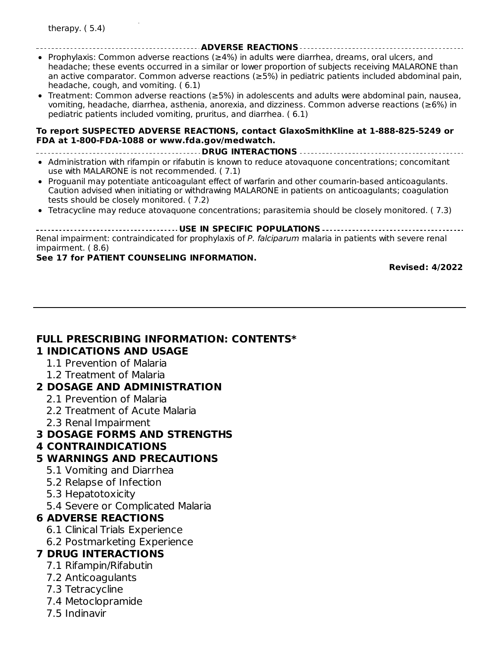#### **ADVERSE REACTIONS** Prophylaxis: Common adverse reactions (≥4%) in adults were diarrhea, dreams, oral ulcers, and headache; these events occurred in a similar or lower proportion of subjects receiving MALARONE than an active comparator. Common adverse reactions (≥5%) in pediatric patients included abdominal pain, headache, cough, and vomiting. ( 6.1)

Treatment: Common adverse reactions (≥5%) in adolescents and adults were abdominal pain, nausea, vomiting, headache, diarrhea, asthenia, anorexia, and dizziness. Common adverse reactions (≥6%) in pediatric patients included vomiting, pruritus, and diarrhea. ( 6.1)

#### **To report SUSPECTED ADVERSE REACTIONS, contact GlaxoSmithKline at 1-888-825-5249 or FDA at 1-800-FDA-1088 or www.fda.gov/medwatch.**

- **DRUG INTERACTIONS**
- Administration with rifampin or rifabutin is known to reduce atovaquone concentrations; concomitant use with MALARONE is not recommended. ( 7.1)
- Proguanil may potentiate anticoagulant effect of warfarin and other coumarin-based anticoagulants. Caution advised when initiating or withdrawing MALARONE in patients on anticoagulants; coagulation tests should be closely monitored. ( 7.2)
- Tetracycline may reduce atovaquone concentrations; parasitemia should be closely monitored. ( 7.3)

**USE IN SPECIFIC POPULATIONS** Renal impairment: contraindicated for prophylaxis of P. falciparum malaria in patients with severe renal impairment. ( 8.6)

#### **See 17 for PATIENT COUNSELING INFORMATION.**

**Revised: 4/2022**

#### **FULL PRESCRIBING INFORMATION: CONTENTS\* 1 INDICATIONS AND USAGE**

- 1.1 Prevention of Malaria
- 1.2 Treatment of Malaria

### **2 DOSAGE AND ADMINISTRATION**

- 2.1 Prevention of Malaria
- 2.2 Treatment of Acute Malaria
- 2.3 Renal Impairment

### **3 DOSAGE FORMS AND STRENGTHS**

#### **4 CONTRAINDICATIONS**

### **5 WARNINGS AND PRECAUTIONS**

- 5.1 Vomiting and Diarrhea
- 5.2 Relapse of Infection
- 5.3 Hepatotoxicity
- 5.4 Severe or Complicated Malaria

### **6 ADVERSE REACTIONS**

- 6.1 Clinical Trials Experience
- 6.2 Postmarketing Experience

### **7 DRUG INTERACTIONS**

- 7.1 Rifampin/Rifabutin
- 7.2 Anticoagulants
- 7.3 Tetracycline
- 7.4 Metoclopramide
- 7.5 Indinavir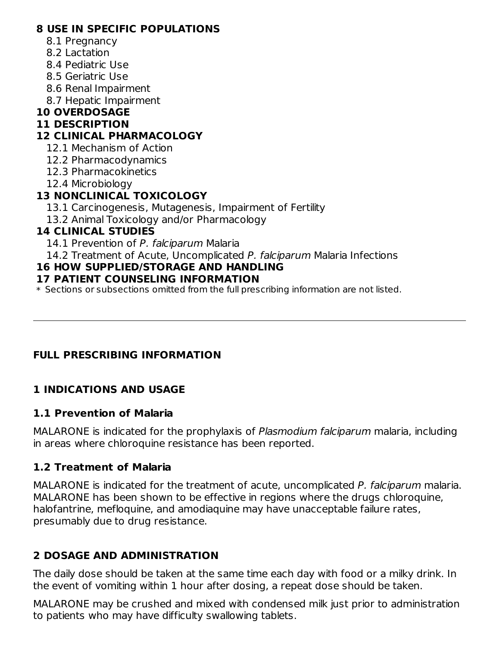### **8 USE IN SPECIFIC POPULATIONS**

- 8.1 Pregnancy
- 8.2 Lactation
- 8.4 Pediatric Use
- 8.5 Geriatric Use
- 8.6 Renal Impairment
- 8.7 Hepatic Impairment

# **10 OVERDOSAGE**

### **11 DESCRIPTION**

## **12 CLINICAL PHARMACOLOGY**

- 12.1 Mechanism of Action
- 12.2 Pharmacodynamics
- 12.3 Pharmacokinetics
- 12.4 Microbiology

# **13 NONCLINICAL TOXICOLOGY**

- 13.1 Carcinogenesis, Mutagenesis, Impairment of Fertility
- 13.2 Animal Toxicology and/or Pharmacology

### **14 CLINICAL STUDIES**

- 14.1 Prevention of P. falciparum Malaria
- 14.2 Treatment of Acute, Uncomplicated P. falciparum Malaria Infections

# **16 HOW SUPPLIED/STORAGE AND HANDLING**

### **17 PATIENT COUNSELING INFORMATION**

\* Sections or subsections omitted from the full prescribing information are not listed.

### **FULL PRESCRIBING INFORMATION**

# **1 INDICATIONS AND USAGE**

### **1.1 Prevention of Malaria**

MALARONE is indicated for the prophylaxis of Plasmodium falciparum malaria, including in areas where chloroquine resistance has been reported.

### **1.2 Treatment of Malaria**

MALARONE is indicated for the treatment of acute, uncomplicated P. falciparum malaria. MALARONE has been shown to be effective in regions where the drugs chloroquine, halofantrine, mefloquine, and amodiaquine may have unacceptable failure rates, presumably due to drug resistance.

# **2 DOSAGE AND ADMINISTRATION**

The daily dose should be taken at the same time each day with food or a milky drink. In the event of vomiting within 1 hour after dosing, a repeat dose should be taken.

MALARONE may be crushed and mixed with condensed milk just prior to administration to patients who may have difficulty swallowing tablets.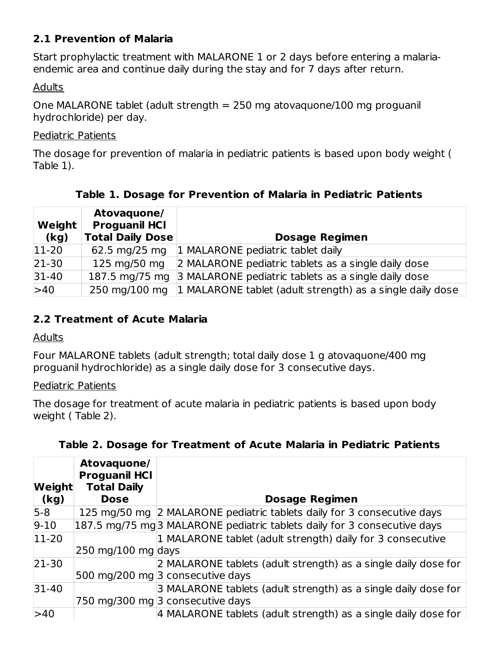### **2.1 Prevention of Malaria**

Start prophylactic treatment with MALARONE 1 or 2 days before entering a malariaendemic area and continue daily during the stay and for 7 days after return.

### **Adults**

One MALARONE tablet (adult strength = 250 mg atovaquone/100 mg proguanil hydrochloride) per day.

#### Pediatric Patients

The dosage for prevention of malaria in pediatric patients is based upon body weight ( Table 1).

| Weight  <br>(kg) | Atovaguone/<br><b>Proguanil HCI</b><br><b>Total Daily Dose</b> | <b>Dosage Regimen</b>                                     |
|------------------|----------------------------------------------------------------|-----------------------------------------------------------|
| $ 11-20 $        | 62.5 mg/25 mg                                                  | 1 MALARONE pediatric tablet daily                         |
| $21-30$          | 125 mg/50 mg                                                   | 2 MALARONE pediatric tablets as a single daily dose       |
| $31-40$          | 187.5 mg/75 mg                                                 | 3 MALARONE pediatric tablets as a single daily dose       |
| >40              | 250 mg/100 mg                                                  | 1 MALARONE tablet (adult strength) as a single daily dose |

# **Table 1. Dosage for Prevention of Malaria in Pediatric Patients**

### **2.2 Treatment of Acute Malaria**

**Adults** 

Four MALARONE tablets (adult strength; total daily dose 1 g atovaquone/400 mg proguanil hydrochloride) as a single daily dose for 3 consecutive days.

### Pediatric Patients

The dosage for treatment of acute malaria in pediatric patients is based upon body weight ( Table 2).

| Weight<br>(kg) | Atovaguone/<br><b>Proguanil HCI</b><br><b>Total Daily</b><br><b>Dose</b> | <b>Dosage Regimen</b>                                                    |
|----------------|--------------------------------------------------------------------------|--------------------------------------------------------------------------|
| $5 - 8$        |                                                                          | 125 mg/50 mg  2 MALARONE pediatric tablets daily for 3 consecutive days  |
| $9-10$         |                                                                          | 187.5 mg/75 mg 3 MALARONE pediatric tablets daily for 3 consecutive days |
| $11-20$        |                                                                          | 1 MALARONE tablet (adult strength) daily for 3 consecutive               |
|                | $250 \text{ mg}/100 \text{ mg}$ days                                     |                                                                          |
| 21-30          |                                                                          | 2 MALARONE tablets (adult strength) as a single daily dose for           |
|                |                                                                          | 500 mg/200 mg 3 consecutive days                                         |
| 31-40          |                                                                          | 3 MALARONE tablets (adult strength) as a single daily dose for           |
|                |                                                                          | 750 mg/300 mg 3 consecutive days                                         |
| >40            |                                                                          | 4 MALARONE tablets (adult strength) as a single daily dose for $\mid$    |

### **Table 2. Dosage for Treatment of Acute Malaria in Pediatric Patients**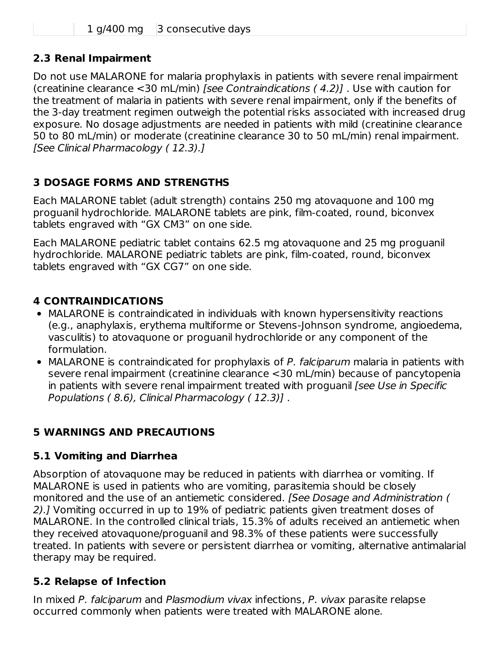## **2.3 Renal Impairment**

Do not use MALARONE for malaria prophylaxis in patients with severe renal impairment (creatinine clearance <30 mL/min) [see Contraindications ( 4.2)] . Use with caution for the treatment of malaria in patients with severe renal impairment, only if the benefits of the 3-day treatment regimen outweigh the potential risks associated with increased drug exposure. No dosage adjustments are needed in patients with mild (creatinine clearance 50 to 80 mL/min) or moderate (creatinine clearance 30 to 50 mL/min) renal impairment. [See Clinical Pharmacology ( 12.3).]

# **3 DOSAGE FORMS AND STRENGTHS**

Each MALARONE tablet (adult strength) contains 250 mg atovaquone and 100 mg proguanil hydrochloride. MALARONE tablets are pink, film-coated, round, biconvex tablets engraved with "GX CM3" on one side.

Each MALARONE pediatric tablet contains 62.5 mg atovaquone and 25 mg proguanil hydrochloride. MALARONE pediatric tablets are pink, film-coated, round, biconvex tablets engraved with "GX CG7" on one side.

# **4 CONTRAINDICATIONS**

- MALARONE is contraindicated in individuals with known hypersensitivity reactions (e.g., anaphylaxis, erythema multiforme or Stevens-Johnson syndrome, angioedema, vasculitis) to atovaquone or proguanil hydrochloride or any component of the formulation.
- MALARONE is contraindicated for prophylaxis of P. falciparum malaria in patients with severe renal impairment (creatinine clearance <30 mL/min) because of pancytopenia in patients with severe renal impairment treated with proguanil [see Use in Specific Populations ( 8.6), Clinical Pharmacology ( 12.3)] .

# **5 WARNINGS AND PRECAUTIONS**

# **5.1 Vomiting and Diarrhea**

Absorption of atovaquone may be reduced in patients with diarrhea or vomiting. If MALARONE is used in patients who are vomiting, parasitemia should be closely monitored and the use of an antiemetic considered. [See Dosage and Administration ( 2).] Vomiting occurred in up to 19% of pediatric patients given treatment doses of MALARONE. In the controlled clinical trials, 15.3% of adults received an antiemetic when they received atovaquone/proguanil and 98.3% of these patients were successfully treated. In patients with severe or persistent diarrhea or vomiting, alternative antimalarial therapy may be required.

# **5.2 Relapse of Infection**

In mixed P. falciparum and Plasmodium vivax infections, P. vivax parasite relapse occurred commonly when patients were treated with MALARONE alone.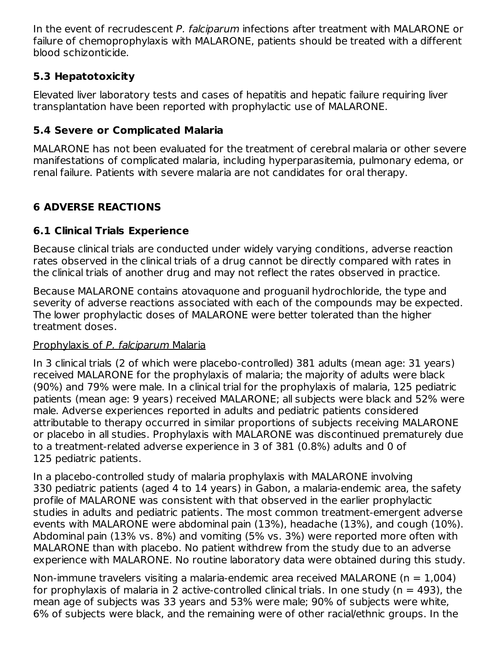In the event of recrudescent P. falciparum infections after treatment with MALARONE or failure of chemoprophylaxis with MALARONE, patients should be treated with a different blood schizonticide.

# **5.3 Hepatotoxicity**

Elevated liver laboratory tests and cases of hepatitis and hepatic failure requiring liver transplantation have been reported with prophylactic use of MALARONE.

# **5.4 Severe or Complicated Malaria**

MALARONE has not been evaluated for the treatment of cerebral malaria or other severe manifestations of complicated malaria, including hyperparasitemia, pulmonary edema, or renal failure. Patients with severe malaria are not candidates for oral therapy.

# **6 ADVERSE REACTIONS**

# **6.1 Clinical Trials Experience**

Because clinical trials are conducted under widely varying conditions, adverse reaction rates observed in the clinical trials of a drug cannot be directly compared with rates in the clinical trials of another drug and may not reflect the rates observed in practice.

Because MALARONE contains atovaquone and proguanil hydrochloride, the type and severity of adverse reactions associated with each of the compounds may be expected. The lower prophylactic doses of MALARONE were better tolerated than the higher treatment doses.

# Prophylaxis of P. falciparum Malaria

In 3 clinical trials (2 of which were placebo-controlled) 381 adults (mean age: 31 years) received MALARONE for the prophylaxis of malaria; the majority of adults were black (90%) and 79% were male. In a clinical trial for the prophylaxis of malaria, 125 pediatric patients (mean age: 9 years) received MALARONE; all subjects were black and 52% were male. Adverse experiences reported in adults and pediatric patients considered attributable to therapy occurred in similar proportions of subjects receiving MALARONE or placebo in all studies. Prophylaxis with MALARONE was discontinued prematurely due to a treatment-related adverse experience in 3 of 381 (0.8%) adults and 0 of 125 pediatric patients.

In a placebo-controlled study of malaria prophylaxis with MALARONE involving 330 pediatric patients (aged 4 to 14 years) in Gabon, a malaria-endemic area, the safety profile of MALARONE was consistent with that observed in the earlier prophylactic studies in adults and pediatric patients. The most common treatment-emergent adverse events with MALARONE were abdominal pain (13%), headache (13%), and cough (10%). Abdominal pain (13% vs. 8%) and vomiting (5% vs. 3%) were reported more often with MALARONE than with placebo. No patient withdrew from the study due to an adverse experience with MALARONE. No routine laboratory data were obtained during this study.

Non-immune travelers visiting a malaria-endemic area received MALARONE ( $n = 1,004$ ) for prophylaxis of malaria in 2 active-controlled clinical trials. In one study ( $n = 493$ ), the mean age of subjects was 33 years and 53% were male; 90% of subjects were white, 6% of subjects were black, and the remaining were of other racial/ethnic groups. In the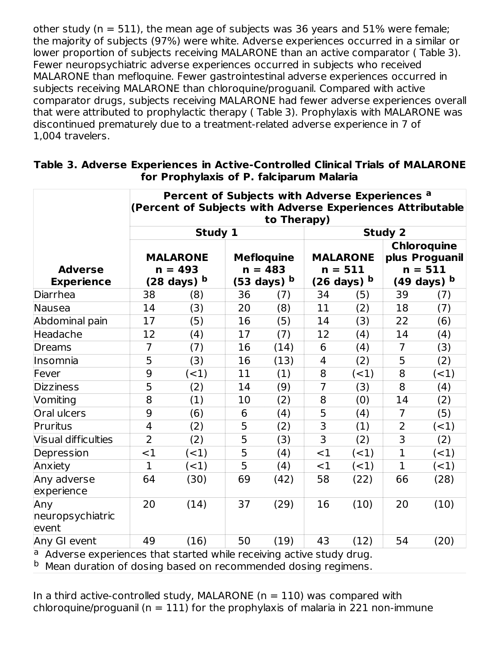other study ( $n = 511$ ), the mean age of subjects was 36 years and 51% were female; the majority of subjects (97%) were white. Adverse experiences occurred in a similar or lower proportion of subjects receiving MALARONE than an active comparator ( Table 3). Fewer neuropsychiatric adverse experiences occurred in subjects who received MALARONE than mefloquine. Fewer gastrointestinal adverse experiences occurred in subjects receiving MALARONE than chloroquine/proguanil. Compared with active comparator drugs, subjects receiving MALARONE had fewer adverse experiences overall that were attributed to prophylactic therapy ( Table 3). Prophylaxis with MALARONE was discontinued prematurely due to a treatment-related adverse experience in 7 of 1,004 travelers.

|                                     | Percent of Subjects with Adverse Experiences a<br>(Percent of Subjects with Adverse Experiences Attributable<br>to Therapy) |                                                       |    |                                                         |                |                                                       |                |                                                                            |  |  |
|-------------------------------------|-----------------------------------------------------------------------------------------------------------------------------|-------------------------------------------------------|----|---------------------------------------------------------|----------------|-------------------------------------------------------|----------------|----------------------------------------------------------------------------|--|--|
|                                     |                                                                                                                             | Study 1                                               |    |                                                         |                |                                                       | <b>Study 2</b> |                                                                            |  |  |
| <b>Adverse</b><br><b>Experience</b> |                                                                                                                             | <b>MALARONE</b><br>$n = 493$<br>$(28 \text{ days})$ b |    | <b>Mefloquine</b><br>$n = 483$<br>$(53 \text{ days})$ b |                | <b>MALARONE</b><br>$n = 511$<br>$(26 \text{ days})$ b |                | <b>Chloroquine</b><br>plus Proguanil<br>$n = 511$<br>$(49 \text{ days})$ b |  |  |
| Diarrhea                            | 38                                                                                                                          | (8)                                                   | 36 | (7)                                                     | 34             | (5)                                                   | 39             | (7)                                                                        |  |  |
| Nausea                              | 14                                                                                                                          | (3)                                                   | 20 | (8)                                                     | 11             | (2)                                                   | 18             | (7)                                                                        |  |  |
| Abdominal pain                      | 17                                                                                                                          | (5)                                                   | 16 | (5)                                                     | 14             | (3)                                                   | 22             | (6)                                                                        |  |  |
| Headache                            | 12                                                                                                                          | (4)                                                   | 17 | (7)                                                     | 12             | (4)                                                   | 14             | (4)                                                                        |  |  |
| Dreams                              | 7                                                                                                                           | (7)                                                   | 16 | (14)                                                    | 6              | (4)                                                   | $\overline{7}$ | (3)                                                                        |  |  |
| Insomnia                            | 5                                                                                                                           | (3)                                                   | 16 | (13)                                                    | 4              | (2)                                                   | 5              | (2)                                                                        |  |  |
| Fever                               | 9                                                                                                                           | $<$ 1)                                                | 11 | (1)                                                     | 8              | $\leq$ 1)                                             | 8              | $\leq$ 1)                                                                  |  |  |
| <b>Dizziness</b>                    | 5                                                                                                                           | (2)                                                   | 14 | (9)                                                     | $\overline{7}$ | (3)                                                   | 8              | (4)                                                                        |  |  |
| Vomiting                            | 8                                                                                                                           | (1)                                                   | 10 | (2)                                                     | 8              | (0)                                                   | 14             | (2)                                                                        |  |  |
| <b>Oral ulcers</b>                  | 9                                                                                                                           | (6)                                                   | 6  | (4)                                                     | 5              | (4)                                                   | $\overline{7}$ | (5)                                                                        |  |  |
| Pruritus                            | 4                                                                                                                           | (2)                                                   | 5  | (2)                                                     | 3              | (1)                                                   | 2              | $(-1)$                                                                     |  |  |
| Visual difficulties                 | $\overline{2}$                                                                                                              | (2)                                                   | 5  | (3)                                                     | 3              | (2)                                                   | 3              | (2)                                                                        |  |  |
| Depression                          | <1                                                                                                                          | $\leq$ 1)                                             | 5  | (4)                                                     | $<$ 1          | $($ < 1 $)$                                           | $\mathbf{1}$   | $(-1)$                                                                     |  |  |
| Anxiety                             | $\overline{1}$                                                                                                              | $\left($ <1)                                          | 5  | (4)                                                     | <1             | $(-1)$                                                | $\mathbf{1}$   | $($ < 1 $)$                                                                |  |  |
| Any adverse<br>experience           | 64                                                                                                                          | (30)                                                  | 69 | (42)                                                    | 58             | (22)                                                  | 66             | (28)                                                                       |  |  |
| Any<br>neuropsychiatric<br>event    | 20                                                                                                                          | (14)                                                  | 37 | (29)                                                    | 16             | (10)                                                  | 20             | (10)                                                                       |  |  |
| Any GI event                        | 49                                                                                                                          | (16)                                                  | 50 | (19)                                                    | 43             | (12)                                                  | 54             | (20)                                                                       |  |  |

**Table 3. Adverse Experiences in Active-Controlled Clinical Trials of MALARONE for Prophylaxis of P. falciparum Malaria**

<sup>a</sup> Adverse experiences that started while receiving active study drug.

b Mean duration of dosing based on recommended dosing regimens.

In a third active-controlled study, MALARONE ( $n = 110$ ) was compared with chloroquine/proguanil ( $n = 111$ ) for the prophylaxis of malaria in 221 non-immune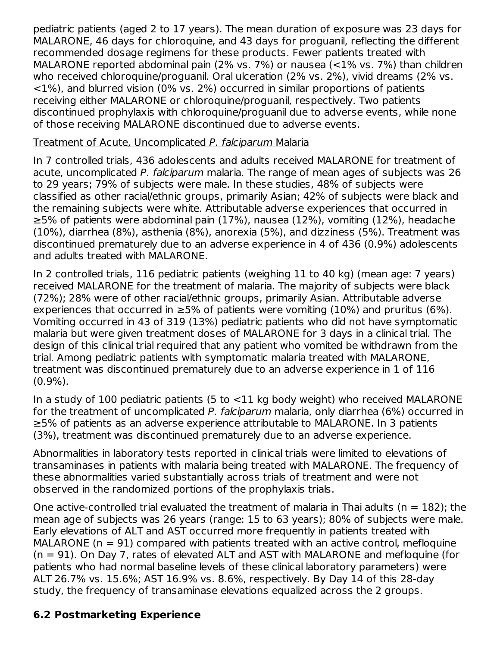pediatric patients (aged 2 to 17 years). The mean duration of exposure was 23 days for MALARONE, 46 days for chloroquine, and 43 days for proguanil, reflecting the different recommended dosage regimens for these products. Fewer patients treated with MALARONE reported abdominal pain (2% vs. 7%) or nausea (<1% vs. 7%) than children who received chloroquine/proguanil. Oral ulceration (2% vs. 2%), vivid dreams (2% vs. <1%), and blurred vision (0% vs. 2%) occurred in similar proportions of patients receiving either MALARONE or chloroquine/proguanil, respectively. Two patients discontinued prophylaxis with chloroquine/proguanil due to adverse events, while none of those receiving MALARONE discontinued due to adverse events.

#### Treatment of Acute, Uncomplicated P. falciparum Malaria

In 7 controlled trials, 436 adolescents and adults received MALARONE for treatment of acute, uncomplicated P. falciparum malaria. The range of mean ages of subjects was 26 to 29 years; 79% of subjects were male. In these studies, 48% of subjects were classified as other racial/ethnic groups, primarily Asian; 42% of subjects were black and the remaining subjects were white. Attributable adverse experiences that occurred in ≥5% of patients were abdominal pain (17%), nausea (12%), vomiting (12%), headache (10%), diarrhea (8%), asthenia (8%), anorexia (5%), and dizziness (5%). Treatment was discontinued prematurely due to an adverse experience in 4 of 436 (0.9%) adolescents and adults treated with MALARONE.

In 2 controlled trials, 116 pediatric patients (weighing 11 to 40 kg) (mean age: 7 years) received MALARONE for the treatment of malaria. The majority of subjects were black (72%); 28% were of other racial/ethnic groups, primarily Asian. Attributable adverse experiences that occurred in  $\geq$ 5% of patients were vomiting (10%) and pruritus (6%). Vomiting occurred in 43 of 319 (13%) pediatric patients who did not have symptomatic malaria but were given treatment doses of MALARONE for 3 days in a clinical trial. The design of this clinical trial required that any patient who vomited be withdrawn from the trial. Among pediatric patients with symptomatic malaria treated with MALARONE, treatment was discontinued prematurely due to an adverse experience in 1 of 116 (0.9%).

In a study of 100 pediatric patients (5 to <11 kg body weight) who received MALARONE for the treatment of uncomplicated P. falciparum malaria, only diarrhea (6%) occurred in ≥5% of patients as an adverse experience attributable to MALARONE. In 3 patients (3%), treatment was discontinued prematurely due to an adverse experience.

Abnormalities in laboratory tests reported in clinical trials were limited to elevations of transaminases in patients with malaria being treated with MALARONE. The frequency of these abnormalities varied substantially across trials of treatment and were not observed in the randomized portions of the prophylaxis trials.

One active-controlled trial evaluated the treatment of malaria in Thai adults ( $n = 182$ ); the mean age of subjects was 26 years (range: 15 to 63 years); 80% of subjects were male. Early elevations of ALT and AST occurred more frequently in patients treated with MALARONE ( $n = 91$ ) compared with patients treated with an active control, mefloquine  $(n = 91)$ . On Day 7, rates of elevated ALT and AST with MALARONE and mefloquine (for patients who had normal baseline levels of these clinical laboratory parameters) were ALT 26.7% vs. 15.6%; AST 16.9% vs. 8.6%, respectively. By Day 14 of this 28‑day study, the frequency of transaminase elevations equalized across the 2 groups.

### **6.2 Postmarketing Experience**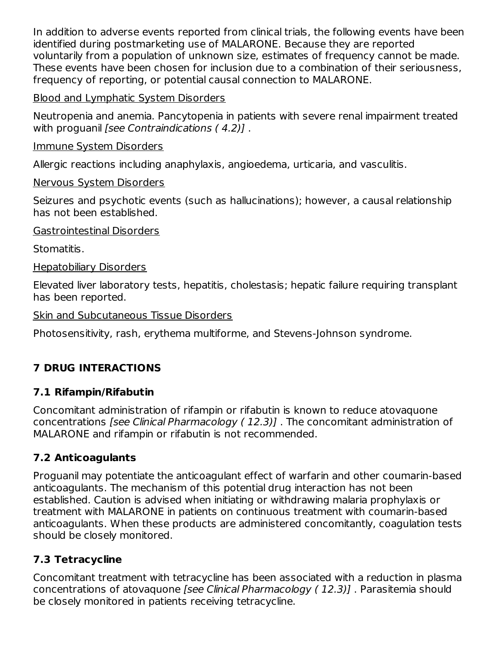In addition to adverse events reported from clinical trials, the following events have been identified during postmarketing use of MALARONE. Because they are reported voluntarily from a population of unknown size, estimates of frequency cannot be made. These events have been chosen for inclusion due to a combination of their seriousness, frequency of reporting, or potential causal connection to MALARONE.

Blood and Lymphatic System Disorders

Neutropenia and anemia. Pancytopenia in patients with severe renal impairment treated with proguanil [see Contraindications (4.2)].

Immune System Disorders

Allergic reactions including anaphylaxis, angioedema, urticaria, and vasculitis.

Nervous System Disorders

Seizures and psychotic events (such as hallucinations); however, a causal relationship has not been established.

Gastrointestinal Disorders

Stomatitis.

Hepatobiliary Disorders

Elevated liver laboratory tests, hepatitis, cholestasis; hepatic failure requiring transplant has been reported.

Skin and Subcutaneous Tissue Disorders

Photosensitivity, rash, erythema multiforme, and Stevens-Johnson syndrome.

# **7 DRUG INTERACTIONS**

# **7.1 Rifampin/Rifabutin**

Concomitant administration of rifampin or rifabutin is known to reduce atovaquone concentrations [see Clinical Pharmacology ( 12.3)] . The concomitant administration of MALARONE and rifampin or rifabutin is not recommended.

# **7.2 Anticoagulants**

Proguanil may potentiate the anticoagulant effect of warfarin and other coumarin-based anticoagulants. The mechanism of this potential drug interaction has not been established. Caution is advised when initiating or withdrawing malaria prophylaxis or treatment with MALARONE in patients on continuous treatment with coumarin-based anticoagulants. When these products are administered concomitantly, coagulation tests should be closely monitored.

# **7.3 Tetracycline**

Concomitant treatment with tetracycline has been associated with a reduction in plasma concentrations of atovaquone [see Clinical Pharmacology ( 12.3)] . Parasitemia should be closely monitored in patients receiving tetracycline.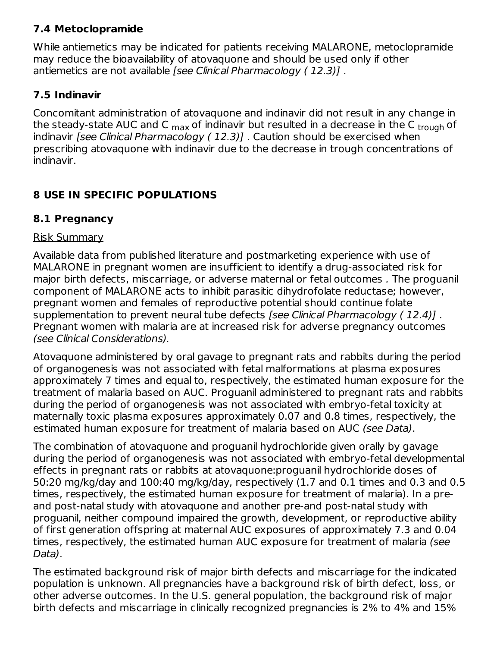### **7.4 Metoclopramide**

While antiemetics may be indicated for patients receiving MALARONE, metoclopramide may reduce the bioavailability of atovaquone and should be used only if other antiemetics are not available [see Clinical Pharmacology ( 12.3)] .

# **7.5 Indinavir**

Concomitant administration of atovaquone and indinavir did not result in any change in the steady-state AUC and C <sub>max</sub> of indinavir but resulted in a decrease in the C <sub>trough</sub> of indinavir [see Clinical Pharmacology (12.3)]. Caution should be exercised when prescribing atovaquone with indinavir due to the decrease in trough concentrations of indinavir.

# **8 USE IN SPECIFIC POPULATIONS**

# **8.1 Pregnancy**

# Risk Summary

Available data from published literature and postmarketing experience with use of MALARONE in pregnant women are insufficient to identify a drug-associated risk for major birth defects, miscarriage, or adverse maternal or fetal outcomes . The proguanil component of MALARONE acts to inhibit parasitic dihydrofolate reductase; however, pregnant women and females of reproductive potential should continue folate supplementation to prevent neural tube defects [see Clinical Pharmacology (12.4)]. Pregnant women with malaria are at increased risk for adverse pregnancy outcomes (see Clinical Considerations).

Atovaquone administered by oral gavage to pregnant rats and rabbits during the period of organogenesis was not associated with fetal malformations at plasma exposures approximately 7 times and equal to, respectively, the estimated human exposure for the treatment of malaria based on AUC. Proguanil administered to pregnant rats and rabbits during the period of organogenesis was not associated with embryo-fetal toxicity at maternally toxic plasma exposures approximately 0.07 and 0.8 times, respectively, the estimated human exposure for treatment of malaria based on AUC (see Data).

The combination of atovaquone and proguanil hydrochloride given orally by gavage during the period of organogenesis was not associated with embryo-fetal developmental effects in pregnant rats or rabbits at atovaquone:proguanil hydrochloride doses of 50:20 mg/kg/day and 100:40 mg/kg/day, respectively (1.7 and 0.1 times and 0.3 and 0.5 times, respectively, the estimated human exposure for treatment of malaria). In a preand post-natal study with atovaquone and another pre-and post-natal study with proguanil, neither compound impaired the growth, development, or reproductive ability of first generation offspring at maternal AUC exposures of approximately 7.3 and 0.04 times, respectively, the estimated human AUC exposure for treatment of malaria (see Data).

The estimated background risk of major birth defects and miscarriage for the indicated population is unknown. All pregnancies have a background risk of birth defect, loss, or other adverse outcomes. In the U.S. general population, the background risk of major birth defects and miscarriage in clinically recognized pregnancies is 2% to 4% and 15%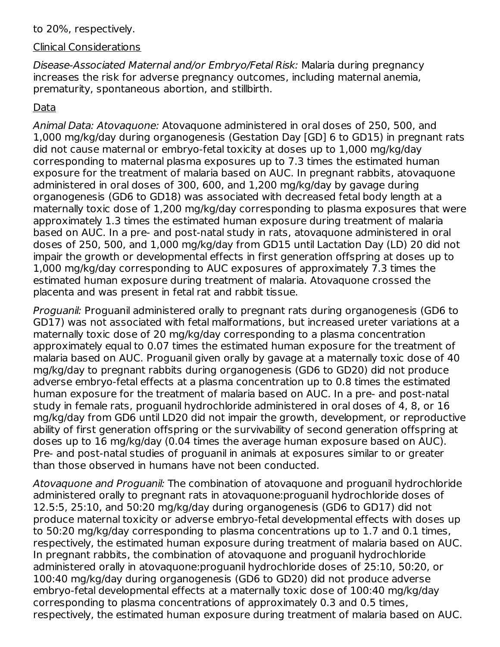#### to 20%, respectively.

#### Clinical Considerations

Disease-Associated Maternal and/or Embryo/Fetal Risk: Malaria during pregnancy increases the risk for adverse pregnancy outcomes, including maternal anemia, prematurity, spontaneous abortion, and stillbirth.

### Data

Animal Data: Atovaquone: Atovaquone administered in oral doses of 250, 500, and 1,000 mg/kg/day during organogenesis (Gestation Day [GD] 6 to GD15) in pregnant rats did not cause maternal or embryo-fetal toxicity at doses up to 1,000 mg/kg/day corresponding to maternal plasma exposures up to 7.3 times the estimated human exposure for the treatment of malaria based on AUC. In pregnant rabbits, atovaquone administered in oral doses of 300, 600, and 1,200 mg/kg/day by gavage during organogenesis (GD6 to GD18) was associated with decreased fetal body length at a maternally toxic dose of 1,200 mg/kg/day corresponding to plasma exposures that were approximately 1.3 times the estimated human exposure during treatment of malaria based on AUC. In a pre- and post-natal study in rats, atovaquone administered in oral doses of 250, 500, and 1,000 mg/kg/day from GD15 until Lactation Day (LD) 20 did not impair the growth or developmental effects in first generation offspring at doses up to 1,000 mg/kg/day corresponding to AUC exposures of approximately 7.3 times the estimated human exposure during treatment of malaria. Atovaquone crossed the placenta and was present in fetal rat and rabbit tissue.

Proguanil: Proguanil administered orally to pregnant rats during organogenesis (GD6 to GD17) was not associated with fetal malformations, but increased ureter variations at a maternally toxic dose of 20 mg/kg/day corresponding to a plasma concentration approximately equal to 0.07 times the estimated human exposure for the treatment of malaria based on AUC. Proguanil given orally by gavage at a maternally toxic dose of 40 mg/kg/day to pregnant rabbits during organogenesis (GD6 to GD20) did not produce adverse embryo-fetal effects at a plasma concentration up to 0.8 times the estimated human exposure for the treatment of malaria based on AUC. In a pre- and post-natal study in female rats, proguanil hydrochloride administered in oral doses of 4, 8, or 16 mg/kg/day from GD6 until LD20 did not impair the growth, development, or reproductive ability of first generation offspring or the survivability of second generation offspring at doses up to 16 mg/kg/day (0.04 times the average human exposure based on AUC). Pre- and post-natal studies of proguanil in animals at exposures similar to or greater than those observed in humans have not been conducted.

Atovaquone and Proguanil: The combination of atovaquone and proguanil hydrochloride administered orally to pregnant rats in atovaquone:proguanil hydrochloride doses of 12.5:5, 25:10, and 50:20 mg/kg/day during organogenesis (GD6 to GD17) did not produce maternal toxicity or adverse embryo-fetal developmental effects with doses up to 50:20 mg/kg/day corresponding to plasma concentrations up to 1.7 and 0.1 times, respectively, the estimated human exposure during treatment of malaria based on AUC. In pregnant rabbits, the combination of atovaquone and proguanil hydrochloride administered orally in atovaquone:proguanil hydrochloride doses of 25:10, 50:20, or 100:40 mg/kg/day during organogenesis (GD6 to GD20) did not produce adverse embryo-fetal developmental effects at a maternally toxic dose of 100:40 mg/kg/day corresponding to plasma concentrations of approximately 0.3 and 0.5 times, respectively, the estimated human exposure during treatment of malaria based on AUC.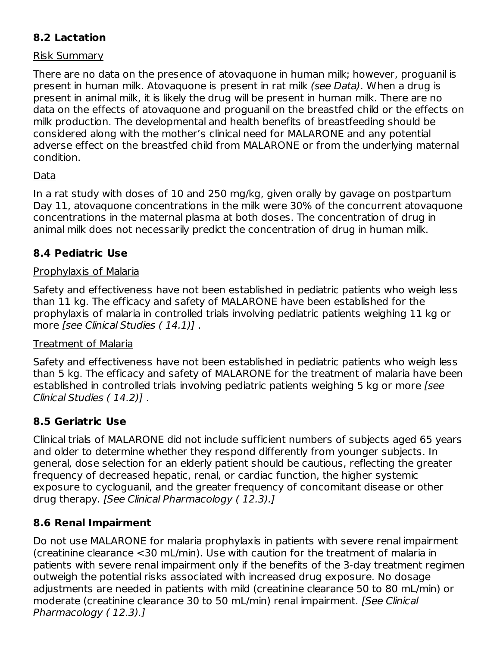# **8.2 Lactation**

### Risk Summary

There are no data on the presence of atovaquone in human milk; however, proguanil is present in human milk. Atovaquone is present in rat milk (see Data). When a drug is present in animal milk, it is likely the drug will be present in human milk. There are no data on the effects of atovaquone and proguanil on the breastfed child or the effects on milk production. The developmental and health benefits of breastfeeding should be considered along with the mother's clinical need for MALARONE and any potential adverse effect on the breastfed child from MALARONE or from the underlying maternal condition.

### Data

In a rat study with doses of 10 and 250 mg/kg, given orally by gavage on postpartum Day 11, atovaquone concentrations in the milk were 30% of the concurrent atovaquone concentrations in the maternal plasma at both doses. The concentration of drug in animal milk does not necessarily predict the concentration of drug in human milk.

### **8.4 Pediatric Use**

### Prophylaxis of Malaria

Safety and effectiveness have not been established in pediatric patients who weigh less than 11 kg. The efficacy and safety of MALARONE have been established for the prophylaxis of malaria in controlled trials involving pediatric patients weighing 11 kg or more [see Clinical Studies (14.1)].

### Treatment of Malaria

Safety and effectiveness have not been established in pediatric patients who weigh less than 5 kg. The efficacy and safety of MALARONE for the treatment of malaria have been established in controlled trials involving pediatric patients weighing 5 kg or more *[see*] Clinical Studies ( 14.2)] .

# **8.5 Geriatric Use**

Clinical trials of MALARONE did not include sufficient numbers of subjects aged 65 years and older to determine whether they respond differently from younger subjects. In general, dose selection for an elderly patient should be cautious, reflecting the greater frequency of decreased hepatic, renal, or cardiac function, the higher systemic exposure to cycloguanil, and the greater frequency of concomitant disease or other drug therapy. [See Clinical Pharmacology ( 12.3).]

### **8.6 Renal Impairment**

Do not use MALARONE for malaria prophylaxis in patients with severe renal impairment (creatinine clearance <30 mL/min). Use with caution for the treatment of malaria in patients with severe renal impairment only if the benefits of the 3-day treatment regimen outweigh the potential risks associated with increased drug exposure. No dosage adjustments are needed in patients with mild (creatinine clearance 50 to 80 mL/min) or moderate (creatinine clearance 30 to 50 mL/min) renal impairment. *[See Clinical* Pharmacology ( 12.3).]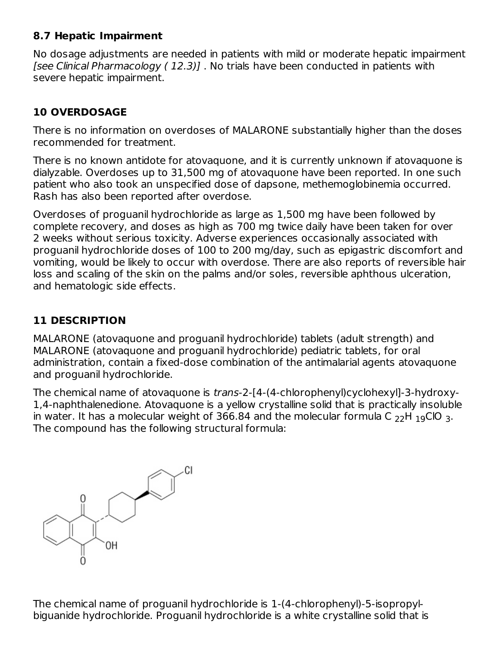### **8.7 Hepatic Impairment**

No dosage adjustments are needed in patients with mild or moderate hepatic impairment [see Clinical Pharmacology ( 12.3)] . No trials have been conducted in patients with severe hepatic impairment.

# **10 OVERDOSAGE**

There is no information on overdoses of MALARONE substantially higher than the doses recommended for treatment.

There is no known antidote for atovaquone, and it is currently unknown if atovaquone is dialyzable. Overdoses up to 31,500 mg of atovaquone have been reported. In one such patient who also took an unspecified dose of dapsone, methemoglobinemia occurred. Rash has also been reported after overdose.

Overdoses of proguanil hydrochloride as large as 1,500 mg have been followed by complete recovery, and doses as high as 700 mg twice daily have been taken for over 2 weeks without serious toxicity. Adverse experiences occasionally associated with proguanil hydrochloride doses of 100 to 200 mg/day, such as epigastric discomfort and vomiting, would be likely to occur with overdose. There are also reports of reversible hair loss and scaling of the skin on the palms and/or soles, reversible aphthous ulceration, and hematologic side effects.

### **11 DESCRIPTION**

MALARONE (atovaquone and proguanil hydrochloride) tablets (adult strength) and MALARONE (atovaquone and proguanil hydrochloride) pediatric tablets, for oral administration, contain a fixed-dose combination of the antimalarial agents atovaquone and proguanil hydrochloride.

The chemical name of atovaquone is trans-2-[4-(4-chlorophenyl)cyclohexyl]-3-hydroxy-1,4-naphthalenedione. Atovaquone is a yellow crystalline solid that is practically insoluble in water. It has a molecular weight of 366.84 and the molecular formula C  $_{22}$ H  $_{19}$ ClO  $_{3}$ . The compound has the following structural formula:



The chemical name of proguanil hydrochloride is 1-(4-chlorophenyl)-5-isopropylbiguanide hydrochloride. Proguanil hydrochloride is a white crystalline solid that is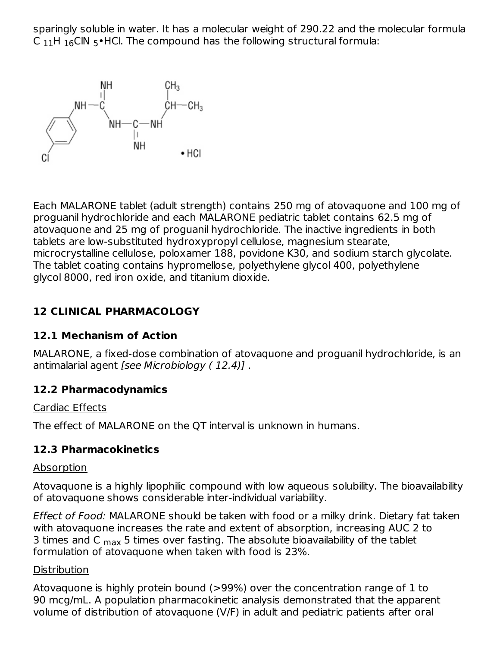sparingly soluble in water. It has a molecular weight of 290.22 and the molecular formula C  $_{11}$ H  $_{16}$ ClN  $_{5}$ •HCl. The compound has the following structural formula:



Each MALARONE tablet (adult strength) contains 250 mg of atovaquone and 100 mg of proguanil hydrochloride and each MALARONE pediatric tablet contains 62.5 mg of atovaquone and 25 mg of proguanil hydrochloride. The inactive ingredients in both tablets are low-substituted hydroxypropyl cellulose, magnesium stearate, microcrystalline cellulose, poloxamer 188, povidone K30, and sodium starch glycolate. The tablet coating contains hypromellose, polyethylene glycol 400, polyethylene glycol 8000, red iron oxide, and titanium dioxide.

### **12 CLINICAL PHARMACOLOGY**

### **12.1 Mechanism of Action**

MALARONE, a fixed-dose combination of atovaquone and proguanil hydrochloride, is an antimalarial agent [see Microbiology ( 12.4)] .

### **12.2 Pharmacodynamics**

#### Cardiac Effects

The effect of MALARONE on the QT interval is unknown in humans.

### **12.3 Pharmacokinetics**

#### Absorption

Atovaquone is a highly lipophilic compound with low aqueous solubility. The bioavailability of atovaquone shows considerable inter-individual variability.

Effect of Food: MALARONE should be taken with food or a milky drink. Dietary fat taken with atovaquone increases the rate and extent of absorption, increasing AUC 2 to 3 times and C  $_{\sf max}$  5 times over fasting. The absolute bioavailability of the tablet formulation of atovaquone when taken with food is 23%.

### **Distribution**

Atovaquone is highly protein bound (>99%) over the concentration range of 1 to 90 mcg/mL. A population pharmacokinetic analysis demonstrated that the apparent volume of distribution of atovaquone (V/F) in adult and pediatric patients after oral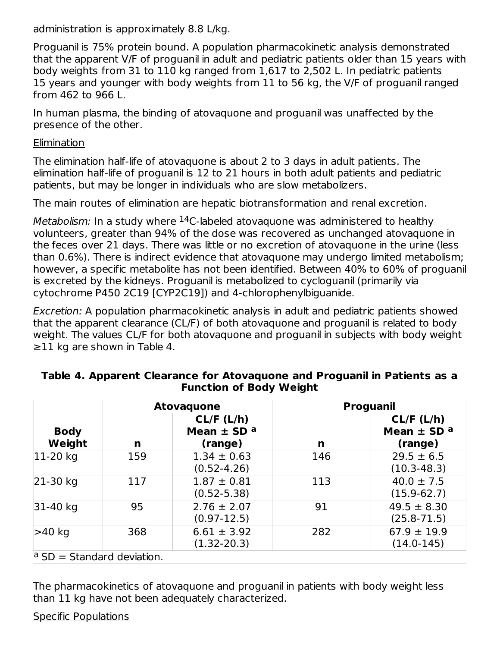administration is approximately 8.8 L/kg.

Proguanil is 75% protein bound. A population pharmacokinetic analysis demonstrated that the apparent V/F of proguanil in adult and pediatric patients older than 15 years with body weights from 31 to 110 kg ranged from 1,617 to 2,502 L. In pediatric patients 15 years and younger with body weights from 11 to 56 kg, the V/F of proguanil ranged from 462 to 966 L.

In human plasma, the binding of atovaquone and proguanil was unaffected by the presence of the other.

#### **Elimination**

The elimination half-life of atovaquone is about 2 to 3 days in adult patients. The elimination half-life of proguanil is 12 to 21 hours in both adult patients and pediatric patients, but may be longer in individuals who are slow metabolizers.

The main routes of elimination are hepatic biotransformation and renal excretion.

*Metabolism:* In a study where  $^{14}$ C-labeled atovaquone was administered to healthy volunteers, greater than 94% of the dose was recovered as unchanged atovaquone in the feces over 21 days. There was little or no excretion of atovaquone in the urine (less than 0.6%). There is indirect evidence that atovaquone may undergo limited metabolism; however, a specific metabolite has not been identified. Between 40% to 60% of proguanil is excreted by the kidneys. Proguanil is metabolized to cycloguanil (primarily via cytochrome P450 2C19 [CYP2C19]) and 4-chlorophenylbiguanide.

Excretion: A population pharmacokinetic analysis in adult and pediatric patients showed that the apparent clearance (CL/F) of both atovaquone and proguanil is related to body weight. The values CL/F for both atovaquone and proguanil in subjects with body weight ≥11 kg are shown in Table 4.

|                              |     | <b>Atovaquone</b>                        | <b>Proguanil</b> |                                          |  |
|------------------------------|-----|------------------------------------------|------------------|------------------------------------------|--|
| <b>Body</b><br>Weight        | n   | CL/F (L/h)<br>Mean $\pm$ SD a<br>(range) | n                | CL/F (L/h)<br>Mean $\pm$ SD a<br>(range) |  |
| $ 11-20$ kg                  | 159 | $1.34 \pm 0.63$<br>$(0.52 - 4.26)$       | 146              | $29.5 \pm 6.5$<br>$(10.3 - 48.3)$        |  |
| $21-30$ kg                   | 117 | $1.87 \pm 0.81$<br>$(0.52 - 5.38)$       | 113              | $40.0 \pm 7.5$<br>$(15.9-62.7)$          |  |
| 31-40 kg                     | 95  | $2.76 \pm 2.07$<br>$(0.97 - 12.5)$       | 91               | $49.5 \pm 8.30$<br>$(25.8 - 71.5)$       |  |
| >40 kg                       | 368 | $6.61 \pm 3.92$<br>$(1.32 - 20.3)$       | 282              | $67.9 \pm 19.9$<br>$(14.0-145)$          |  |
| $a$ SD = Standard deviation. |     |                                          |                  |                                          |  |

#### **Table 4. Apparent Clearance for Atovaquone and Proguanil in Patients as a Function of Body Weight**

The pharmacokinetics of atovaquone and proguanil in patients with body weight less than 11 kg have not been adequately characterized.

### Specific Populations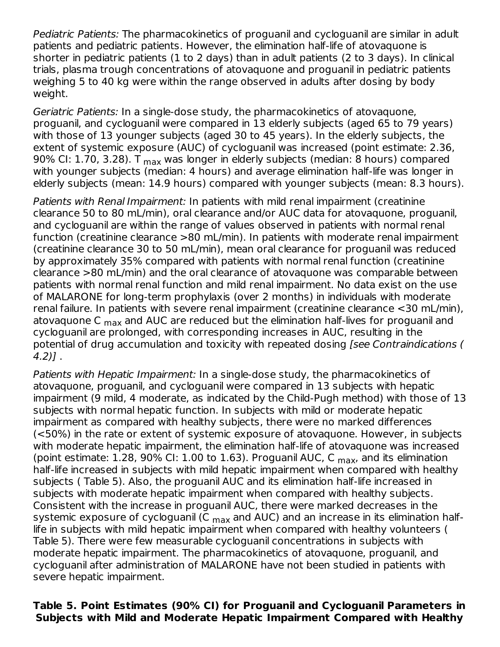Pediatric Patients: The pharmacokinetics of proguanil and cycloguanil are similar in adult patients and pediatric patients. However, the elimination half-life of atovaquone is shorter in pediatric patients (1 to 2 days) than in adult patients (2 to 3 days). In clinical trials, plasma trough concentrations of atovaquone and proguanil in pediatric patients weighing 5 to 40 kg were within the range observed in adults after dosing by body weight.

Geriatric Patients: In a single-dose study, the pharmacokinetics of atovaquone, proguanil, and cycloguanil were compared in 13 elderly subjects (aged 65 to 79 years) with those of 13 younger subjects (aged 30 to 45 years). In the elderly subjects, the extent of systemic exposure (AUC) of cycloguanil was increased (point estimate: 2.36, 90% Cl: 1.70, 3.28). T <sub>max</sub> was longer in elderly subjects (median: 8 hours) compared with younger subjects (median: 4 hours) and average elimination half-life was longer in elderly subjects (mean: 14.9 hours) compared with younger subjects (mean: 8.3 hours).

Patients with Renal Impairment: In patients with mild renal impairment (creatinine clearance 50 to 80 mL/min), oral clearance and/or AUC data for atovaquone, proguanil, and cycloguanil are within the range of values observed in patients with normal renal function (creatinine clearance >80 mL/min). In patients with moderate renal impairment (creatinine clearance 30 to 50 mL/min), mean oral clearance for proguanil was reduced by approximately 35% compared with patients with normal renal function (creatinine clearance >80 mL/min) and the oral clearance of atovaquone was comparable between patients with normal renal function and mild renal impairment. No data exist on the use of MALARONE for long-term prophylaxis (over 2 months) in individuals with moderate renal failure. In patients with severe renal impairment (creatinine clearance <30 mL/min), atovaquone C <sub>max</sub> and AUC are reduced but the elimination half-lives for proguanil and cycloguanil are prolonged, with corresponding increases in AUC, resulting in the potential of drug accumulation and toxicity with repeated dosing [see Contraindications ( 4.2)] .

Patients with Hepatic Impairment: In a single-dose study, the pharmacokinetics of atovaquone, proguanil, and cycloguanil were compared in 13 subjects with hepatic impairment (9 mild, 4 moderate, as indicated by the Child-Pugh method) with those of 13 subjects with normal hepatic function. In subjects with mild or moderate hepatic impairment as compared with healthy subjects, there were no marked differences (<50%) in the rate or extent of systemic exposure of atovaquone. However, in subjects with moderate hepatic impairment, the elimination half-life of atovaquone was increased (point estimate: 1.28, 90% CI: 1.00 to 1.63). Proguanil AUC, C <sub>max</sub>, and its elimination half-life increased in subjects with mild hepatic impairment when compared with healthy subjects ( Table 5). Also, the proguanil AUC and its elimination half-life increased in subjects with moderate hepatic impairment when compared with healthy subjects. Consistent with the increase in proguanil AUC, there were marked decreases in the systemic exposure of cycloguanil (C <sub>max</sub> and AUC) and an increase in its elimination halflife in subjects with mild hepatic impairment when compared with healthy volunteers ( Table 5). There were few measurable cycloguanil concentrations in subjects with moderate hepatic impairment. The pharmacokinetics of atovaquone, proguanil, and cycloguanil after administration of MALARONE have not been studied in patients with severe hepatic impairment.

#### **Table 5. Point Estimates (90% CI) for Proguanil and Cycloguanil Parameters in Subjects with Mild and Moderate Hepatic Impairment Compared with Healthy**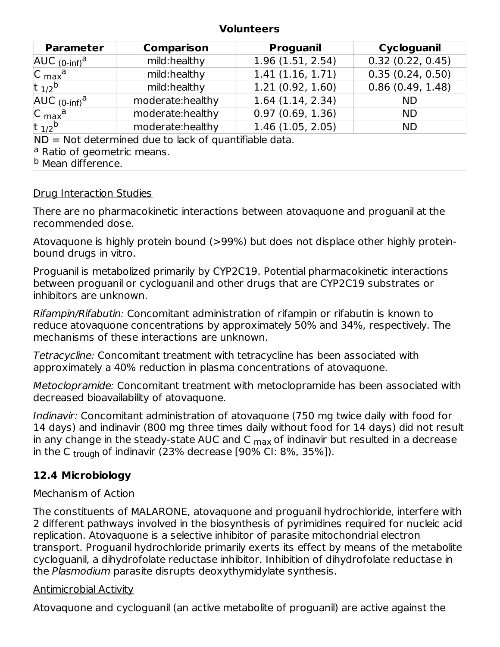#### **Volunteers**

| <b>Parameter</b>              | <b>Comparison</b> | <b>Proguanil</b> | Cycloguanil      |
|-------------------------------|-------------------|------------------|------------------|
| $AUC_{(0\text{-}inf)}^a$      | mild:healthy      | 1.96(1.51, 2.54) | 0.32(0.22, 0.45) |
| $ C_{\text{max}}^{\text{a}} $ | mild:healthy      | 1.41(1.16, 1.71) | 0.35(0.24, 0.50) |
| t $1/2^{b}$                   | mild:healthy      | 1.21(0.92, 1.60) | 0.86(0.49, 1.48) |
| $AUC_{(0\text{-}inf)}^a$      | moderate:healthy  | 1.64(1.14, 2.34) | <b>ND</b>        |
| $ C_{\text{max}}^{\text{a}} $ | moderate:healthy  | 0.97(0.69, 1.36) | <b>ND</b>        |
| t $1/2^{b}$                   | moderate:healthy  | 1.46(1.05, 2.05) | <b>ND</b>        |

 $ND = Not$  determined due to lack of quantifiable data.

<sup>a</sup> Ratio of geometric means.

<sup>b</sup> Mean difference.

#### Drug Interaction Studies

There are no pharmacokinetic interactions between atovaquone and proguanil at the recommended dose.

Atovaquone is highly protein bound (>99%) but does not displace other highly proteinbound drugs in vitro.

Proguanil is metabolized primarily by CYP2C19. Potential pharmacokinetic interactions between proguanil or cycloguanil and other drugs that are CYP2C19 substrates or inhibitors are unknown.

Rifampin/Rifabutin: Concomitant administration of rifampin or rifabutin is known to reduce atovaquone concentrations by approximately 50% and 34%, respectively. The mechanisms of these interactions are unknown.

Tetracycline: Concomitant treatment with tetracycline has been associated with approximately a 40% reduction in plasma concentrations of atovaquone.

Metoclopramide: Concomitant treatment with metoclopramide has been associated with decreased bioavailability of atovaquone.

Indinavir: Concomitant administration of atovaquone (750 mg twice daily with food for 14 days) and indinavir (800 mg three times daily without food for 14 days) did not result in any change in the steady-state AUC and C  $_{\sf max}$  of indinavir but resulted in a decrease in the C <sub>trough</sub> of indinavir (23% decrease [90% CI: 8%, 35%]).

### **12.4 Microbiology**

### Mechanism of Action

The constituents of MALARONE, atovaquone and proguanil hydrochloride, interfere with 2 different pathways involved in the biosynthesis of pyrimidines required for nucleic acid replication. Atovaquone is a selective inhibitor of parasite mitochondrial electron transport. Proguanil hydrochloride primarily exerts its effect by means of the metabolite cycloguanil, a dihydrofolate reductase inhibitor. Inhibition of dihydrofolate reductase in the Plasmodium parasite disrupts deoxythymidylate synthesis.

### Antimicrobial Activity

Atovaquone and cycloguanil (an active metabolite of proguanil) are active against the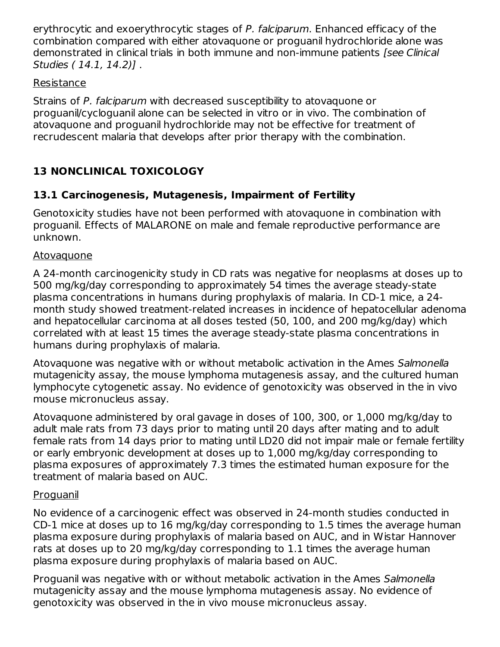erythrocytic and exoerythrocytic stages of P. falciparum. Enhanced efficacy of the combination compared with either atovaquone or proguanil hydrochloride alone was demonstrated in clinical trials in both immune and non-immune patients [see Clinical Studies ( 14.1, 14.2)] .

### Resistance

Strains of P. falciparum with decreased susceptibility to atovaquone or proguanil/cycloguanil alone can be selected in vitro or in vivo. The combination of atovaquone and proguanil hydrochloride may not be effective for treatment of recrudescent malaria that develops after prior therapy with the combination.

# **13 NONCLINICAL TOXICOLOGY**

# **13.1 Carcinogenesis, Mutagenesis, Impairment of Fertility**

Genotoxicity studies have not been performed with atovaquone in combination with proguanil. Effects of MALARONE on male and female reproductive performance are unknown.

### **Atovaquone**

A 24-month carcinogenicity study in CD rats was negative for neoplasms at doses up to 500 mg/kg/day corresponding to approximately 54 times the average steady-state plasma concentrations in humans during prophylaxis of malaria. In CD-1 mice, a 24 month study showed treatment-related increases in incidence of hepatocellular adenoma and hepatocellular carcinoma at all doses tested (50, 100, and 200 mg/kg/day) which correlated with at least 15 times the average steady-state plasma concentrations in humans during prophylaxis of malaria.

Atovaquone was negative with or without metabolic activation in the Ames Salmonella mutagenicity assay, the mouse lymphoma mutagenesis assay, and the cultured human lymphocyte cytogenetic assay. No evidence of genotoxicity was observed in the in vivo mouse micronucleus assay.

Atovaquone administered by oral gavage in doses of 100, 300, or 1,000 mg/kg/day to adult male rats from 73 days prior to mating until 20 days after mating and to adult female rats from 14 days prior to mating until LD20 did not impair male or female fertility or early embryonic development at doses up to 1,000 mg/kg/day corresponding to plasma exposures of approximately 7.3 times the estimated human exposure for the treatment of malaria based on AUC.

### Proguanil

No evidence of a carcinogenic effect was observed in 24-month studies conducted in CD-1 mice at doses up to 16 mg/kg/day corresponding to 1.5 times the average human plasma exposure during prophylaxis of malaria based on AUC, and in Wistar Hannover rats at doses up to 20 mg/kg/day corresponding to 1.1 times the average human plasma exposure during prophylaxis of malaria based on AUC.

Proguanil was negative with or without metabolic activation in the Ames Salmonella mutagenicity assay and the mouse lymphoma mutagenesis assay. No evidence of genotoxicity was observed in the in vivo mouse micronucleus assay.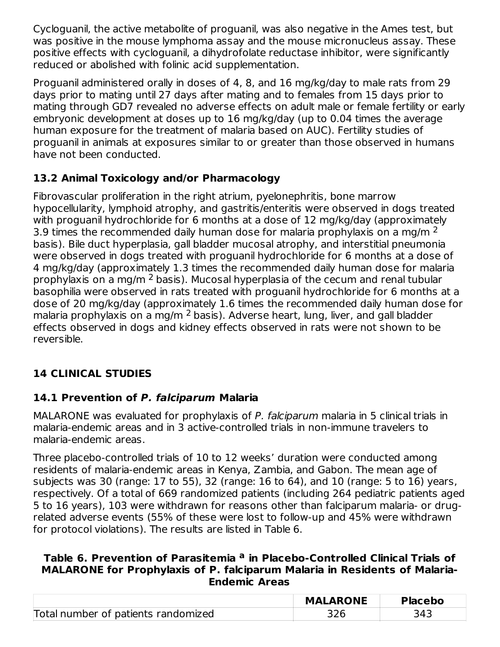Cycloguanil, the active metabolite of proguanil, was also negative in the Ames test, but was positive in the mouse lymphoma assay and the mouse micronucleus assay. These positive effects with cycloguanil, a dihydrofolate reductase inhibitor, were significantly reduced or abolished with folinic acid supplementation.

Proguanil administered orally in doses of 4, 8, and 16 mg/kg/day to male rats from 29 days prior to mating until 27 days after mating and to females from 15 days prior to mating through GD7 revealed no adverse effects on adult male or female fertility or early embryonic development at doses up to 16 mg/kg/day (up to 0.04 times the average human exposure for the treatment of malaria based on AUC). Fertility studies of proguanil in animals at exposures similar to or greater than those observed in humans have not been conducted.

# **13.2 Animal Toxicology and/or Pharmacology**

Fibrovascular proliferation in the right atrium, pyelonephritis, bone marrow hypocellularity, lymphoid atrophy, and gastritis/enteritis were observed in dogs treated with proguanil hydrochloride for 6 months at a dose of 12 mg/kg/day (approximately 3.9 times the recommended daily human dose for malaria prophylaxis on a mg/m  $^2$ basis). Bile duct hyperplasia, gall bladder mucosal atrophy, and interstitial pneumonia were observed in dogs treated with proguanil hydrochloride for 6 months at a dose of 4 mg/kg/day (approximately 1.3 times the recommended daily human dose for malaria prophylaxis on a mg/m  $^2$  basis). Mucosal hyperplasia of the cecum and renal tubular basophilia were observed in rats treated with proguanil hydrochloride for 6 months at a dose of 20 mg/kg/day (approximately 1.6 times the recommended daily human dose for malaria prophylaxis on a mg/m  $^2$  basis). Adverse heart, lung, liver, and gall bladder effects observed in dogs and kidney effects observed in rats were not shown to be reversible.

# **14 CLINICAL STUDIES**

# **14.1 Prevention of P. falciparum Malaria**

MALARONE was evaluated for prophylaxis of P. falciparum malaria in 5 clinical trials in malaria-endemic areas and in 3 active-controlled trials in non-immune travelers to malaria-endemic areas.

Three placebo-controlled trials of 10 to 12 weeks' duration were conducted among residents of malaria-endemic areas in Kenya, Zambia, and Gabon. The mean age of subjects was 30 (range: 17 to 55), 32 (range: 16 to 64), and 10 (range: 5 to 16) years, respectively. Of a total of 669 randomized patients (including 264 pediatric patients aged 5 to 16 years), 103 were withdrawn for reasons other than falciparum malaria- or drugrelated adverse events (55% of these were lost to follow-up and 45% were withdrawn for protocol violations). The results are listed in Table 6.

### **Table 6. Prevention of Parasitemia in Placebo-Controlled Clinical Trials of aMALARONE for Prophylaxis of P. falciparum Malaria in Residents of Malaria-Endemic Areas**

|                                     | <b>MALARONE</b> | <b>Placebo</b> |
|-------------------------------------|-----------------|----------------|
| Total number of patients randomized |                 | 343            |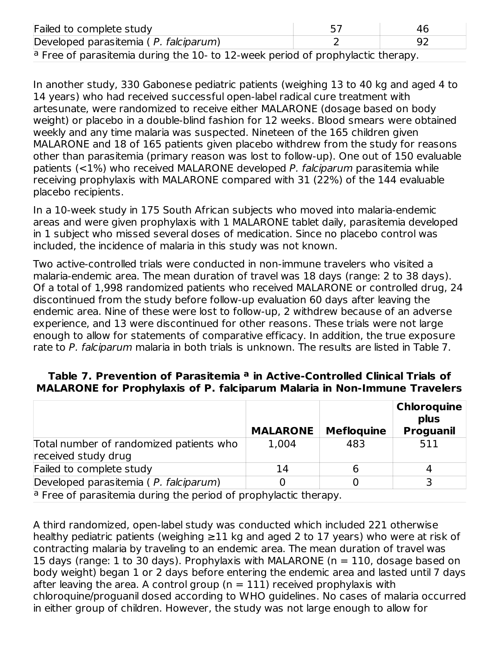| Failed to complete study                                                                   |  | 46 |  |  |  |
|--------------------------------------------------------------------------------------------|--|----|--|--|--|
| Developed parasitemia (P. falciparum)                                                      |  |    |  |  |  |
| <sup>a</sup> Free of parasitemia during the 10- to 12-week period of prophylactic therapy. |  |    |  |  |  |

In another study, 330 Gabonese pediatric patients (weighing 13 to 40 kg and aged 4 to 14 years) who had received successful open-label radical cure treatment with artesunate, were randomized to receive either MALARONE (dosage based on body weight) or placebo in a double-blind fashion for 12 weeks. Blood smears were obtained weekly and any time malaria was suspected. Nineteen of the 165 children given MALARONE and 18 of 165 patients given placebo withdrew from the study for reasons other than parasitemia (primary reason was lost to follow-up). One out of 150 evaluable patients (<1%) who received MALARONE developed P. falciparum parasitemia while receiving prophylaxis with MALARONE compared with 31 (22%) of the 144 evaluable placebo recipients.

In a 10-week study in 175 South African subjects who moved into malaria-endemic areas and were given prophylaxis with 1 MALARONE tablet daily, parasitemia developed in 1 subject who missed several doses of medication. Since no placebo control was included, the incidence of malaria in this study was not known.

Two active-controlled trials were conducted in non-immune travelers who visited a malaria-endemic area. The mean duration of travel was 18 days (range: 2 to 38 days). Of a total of 1,998 randomized patients who received MALARONE or controlled drug, 24 discontinued from the study before follow-up evaluation 60 days after leaving the endemic area. Nine of these were lost to follow-up, 2 withdrew because of an adverse experience, and 13 were discontinued for other reasons. These trials were not large enough to allow for statements of comparative efficacy. In addition, the true exposure rate to P. falciparum malaria in both trials is unknown. The results are listed in Table 7.

|                                                                  | <b>MALARONE</b> | <b>Mefloquine</b> | Chloroquine<br>plus<br><b>Proguanil</b> |
|------------------------------------------------------------------|-----------------|-------------------|-----------------------------------------|
| Total number of randomized patients who<br>received study drug   | 1,004           | 483               | 511                                     |
| Failed to complete study                                         | 14              |                   |                                         |
| Developed parasitemia (P. falciparum)                            |                 |                   | っ                                       |
| a Free of parasitemia during the period of prophylactic therapy. |                 |                   |                                         |

#### **Table 7. Prevention of Parasitemia in Active-Controlled Clinical Trials of a MALARONE for Prophylaxis of P. falciparum Malaria in Non-Immune Travelers**

A third randomized, open-label study was conducted which included 221 otherwise healthy pediatric patients (weighing  $\geq$ 11 kg and aged 2 to 17 years) who were at risk of contracting malaria by traveling to an endemic area. The mean duration of travel was 15 days (range: 1 to 30 days). Prophylaxis with MALARONE ( $n = 110$ , dosage based on body weight) began 1 or 2 days before entering the endemic area and lasted until 7 days after leaving the area. A control group ( $n = 111$ ) received prophylaxis with chloroquine/proguanil dosed according to WHO guidelines. No cases of malaria occurred in either group of children. However, the study was not large enough to allow for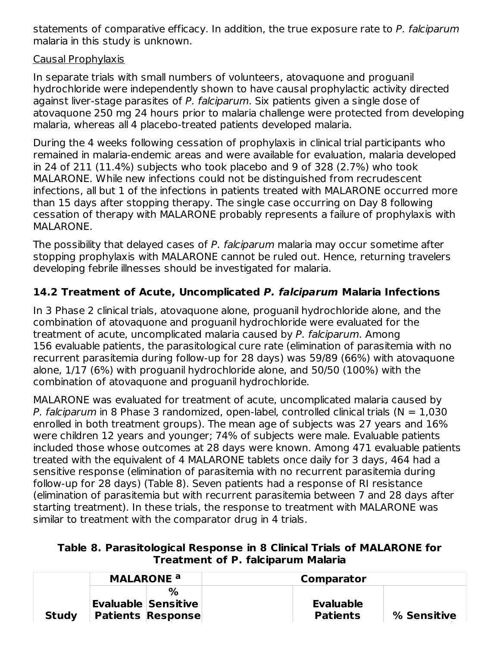statements of comparative efficacy. In addition, the true exposure rate to P. falciparum malaria in this study is unknown.

### Causal Prophylaxis

In separate trials with small numbers of volunteers, atovaquone and proguanil hydrochloride were independently shown to have causal prophylactic activity directed against liver-stage parasites of P. falciparum. Six patients given a single dose of atovaquone 250 mg 24 hours prior to malaria challenge were protected from developing malaria, whereas all 4 placebo-treated patients developed malaria.

During the 4 weeks following cessation of prophylaxis in clinical trial participants who remained in malaria-endemic areas and were available for evaluation, malaria developed in 24 of 211 (11.4%) subjects who took placebo and 9 of 328 (2.7%) who took MALARONE. While new infections could not be distinguished from recrudescent infections, all but 1 of the infections in patients treated with MALARONE occurred more than 15 days after stopping therapy. The single case occurring on Day 8 following cessation of therapy with MALARONE probably represents a failure of prophylaxis with MALARONE.

The possibility that delayed cases of P. falciparum malaria may occur sometime after stopping prophylaxis with MALARONE cannot be ruled out. Hence, returning travelers developing febrile illnesses should be investigated for malaria.

### **14.2 Treatment of Acute, Uncomplicated P. falciparum Malaria Infections**

In 3 Phase 2 clinical trials, atovaquone alone, proguanil hydrochloride alone, and the combination of atovaquone and proguanil hydrochloride were evaluated for the treatment of acute, uncomplicated malaria caused by P. falciparum. Among 156 evaluable patients, the parasitological cure rate (elimination of parasitemia with no recurrent parasitemia during follow-up for 28 days) was 59/89 (66%) with atovaquone alone, 1/17 (6%) with proguanil hydrochloride alone, and 50/50 (100%) with the combination of atovaquone and proguanil hydrochloride.

MALARONE was evaluated for treatment of acute, uncomplicated malaria caused by P. falciparum in 8 Phase 3 randomized, open-label, controlled clinical trials  $(N = 1,030)$ enrolled in both treatment groups). The mean age of subjects was 27 years and 16% were children 12 years and younger; 74% of subjects were male. Evaluable patients included those whose outcomes at 28 days were known. Among 471 evaluable patients treated with the equivalent of 4 MALARONE tablets once daily for 3 days, 464 had a sensitive response (elimination of parasitemia with no recurrent parasitemia during follow-up for 28 days) (Table 8). Seven patients had a response of RI resistance (elimination of parasitemia but with recurrent parasitemia between 7 and 28 days after starting treatment). In these trials, the response to treatment with MALARONE was similar to treatment with the comparator drug in 4 trials.

#### **Table 8. Parasitological Response in 8 Clinical Trials of MALARONE for Treatment of P. falciparum Malaria**

|              | <b>MALARONE</b> <sup>a</sup> |                          | Comparator       |             |
|--------------|------------------------------|--------------------------|------------------|-------------|
|              |                              | $\%$                     |                  |             |
|              |                              | Evaluable   Sensitive    | <b>Evaluable</b> |             |
| <b>Study</b> |                              | <b>Patients Response</b> | <b>Patients</b>  | % Sensitive |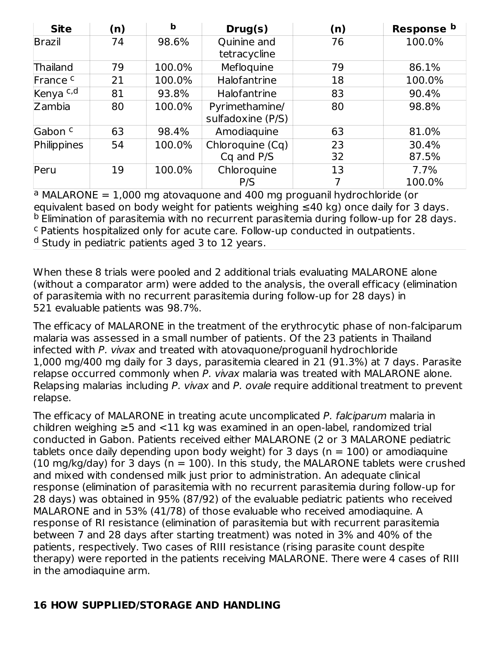| <b>Site</b>         | (n) | b      | Drug(s)                             | (n)      | Response b     |
|---------------------|-----|--------|-------------------------------------|----------|----------------|
| Brazil              | 74  | 98.6%  | Quinine and<br>tetracycline         | 76       | 100.0%         |
| Thailand            | 79  | 100.0% | Mefloquine                          | 79       | 86.1%          |
| France <sup>c</sup> | 21  | 100.0% | Halofantrine                        | 18       | 100.0%         |
| Kenya c,d           | 81  | 93.8%  | Halofantrine                        | 83       | 90.4%          |
| Zambia              | 80  | 100.0% | Pyrimethamine/<br>sulfadoxine (P/S) | 80       | 98.8%          |
| Gabon <sup>c</sup>  | 63  | 98.4%  | Amodiaguine                         | 63       | 81.0%          |
| Philippines         | 54  | 100.0% | Chloroquine (Cq)<br>Cq and P/S      | 23<br>32 | 30.4%<br>87.5% |
| Peru                | 19  | 100.0% | Chloroquine<br>P/S                  | 13       | 7.7%<br>100.0% |

 $a$  MALARONE = 1,000 mg atovaquone and 400 mg proguanil hydrochloride (or equivalent based on body weight for patients weighing ≤40 kg) once daily for 3 days. <sup>b</sup> Elimination of parasitemia with no recurrent parasitemia during follow-up for 28 days. <sup>c</sup> Patients hospitalized only for acute care. Follow-up conducted in outpatients. <sup>d</sup> Study in pediatric patients aged 3 to 12 years.

When these 8 trials were pooled and 2 additional trials evaluating MALARONE alone (without a comparator arm) were added to the analysis, the overall efficacy (elimination of parasitemia with no recurrent parasitemia during follow-up for 28 days) in 521 evaluable patients was 98.7%.

The efficacy of MALARONE in the treatment of the erythrocytic phase of non-falciparum malaria was assessed in a small number of patients. Of the 23 patients in Thailand infected with P. vivax and treated with atovaquone/proguanil hydrochloride 1,000 mg/400 mg daily for 3 days, parasitemia cleared in 21 (91.3%) at 7 days. Parasite relapse occurred commonly when P. vivax malaria was treated with MALARONE alone. Relapsing malarias including P. vivax and P. ovale require additional treatment to prevent relapse.

The efficacy of MALARONE in treating acute uncomplicated P. falciparum malaria in children weighing  $\geq$ 5 and <11 kg was examined in an open-label, randomized trial conducted in Gabon. Patients received either MALARONE (2 or 3 MALARONE pediatric tablets once daily depending upon body weight) for 3 days ( $n = 100$ ) or amodiaguine (10 mg/kg/day) for 3 days ( $n = 100$ ). In this study, the MALARONE tablets were crushed and mixed with condensed milk just prior to administration. An adequate clinical response (elimination of parasitemia with no recurrent parasitemia during follow-up for 28 days) was obtained in 95% (87/92) of the evaluable pediatric patients who received MALARONE and in 53% (41/78) of those evaluable who received amodiaquine. A response of RI resistance (elimination of parasitemia but with recurrent parasitemia between 7 and 28 days after starting treatment) was noted in 3% and 40% of the patients, respectively. Two cases of RIII resistance (rising parasite count despite therapy) were reported in the patients receiving MALARONE. There were 4 cases of RIII in the amodiaquine arm.

### **16 HOW SUPPLIED/STORAGE AND HANDLING**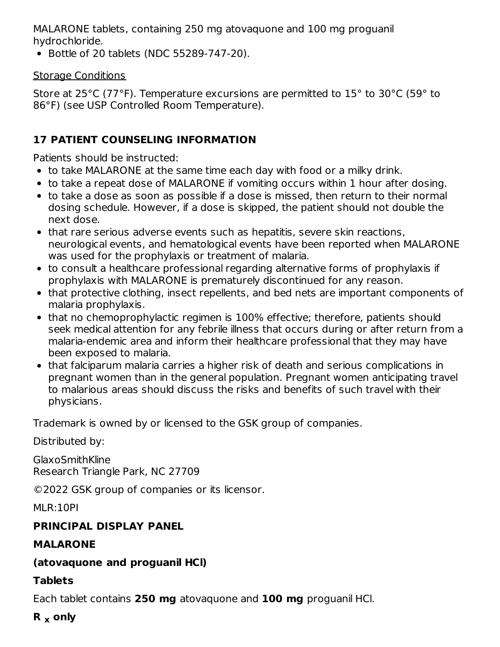MALARONE tablets, containing 250 mg atovaquone and 100 mg proguanil hydrochloride.

• Bottle of 20 tablets (NDC 55289-747-20).

### Storage Conditions

Store at 25°C (77°F). Temperature excursions are permitted to 15° to 30°C (59° to 86°F) (see USP Controlled Room Temperature).

### **17 PATIENT COUNSELING INFORMATION**

Patients should be instructed:

- to take MALARONE at the same time each day with food or a milky drink.
- to take a repeat dose of MALARONE if vomiting occurs within 1 hour after dosing.
- to take a dose as soon as possible if a dose is missed, then return to their normal dosing schedule. However, if a dose is skipped, the patient should not double the next dose.
- that rare serious adverse events such as hepatitis, severe skin reactions, neurological events, and hematological events have been reported when MALARONE was used for the prophylaxis or treatment of malaria.
- to consult a healthcare professional regarding alternative forms of prophylaxis if prophylaxis with MALARONE is prematurely discontinued for any reason.
- that protective clothing, insect repellents, and bed nets are important components of malaria prophylaxis.
- that no chemoprophylactic regimen is 100% effective; therefore, patients should seek medical attention for any febrile illness that occurs during or after return from a malaria-endemic area and inform their healthcare professional that they may have been exposed to malaria.
- that falciparum malaria carries a higher risk of death and serious complications in pregnant women than in the general population. Pregnant women anticipating travel to malarious areas should discuss the risks and benefits of such travel with their physicians.

Trademark is owned by or licensed to the GSK group of companies.

Distributed by:

GlaxoSmithKline Research Triangle Park, NC 27709

©2022 GSK group of companies or its licensor.

MLR:10PI

# **PRINCIPAL DISPLAY PANEL**

### **MALARONE**

# **(atovaquone and proguanil HCl)**

# **Tablets**

Each tablet contains **250 mg** atovaquone and **100 mg** proguanil HCl.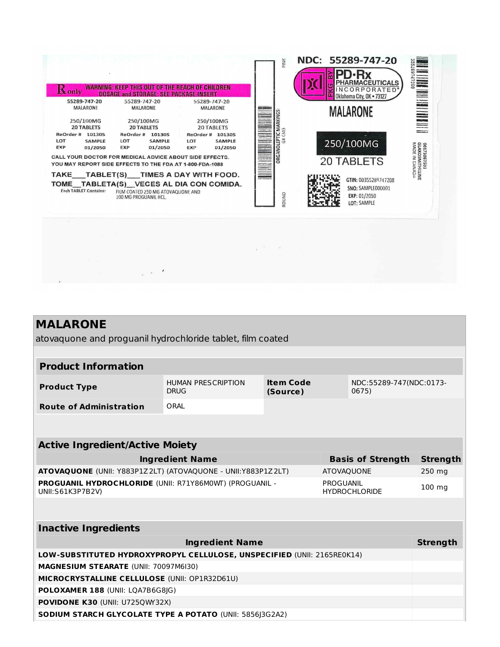

### **MALARONE**

atovaquone and proguanil hydrochloride tablet, film coated

| <b>Product Information</b>     |                                   |                       |                                  |  |  |  |
|--------------------------------|-----------------------------------|-----------------------|----------------------------------|--|--|--|
| <b>Product Type</b>            | HUMAN PRESCRIPTION<br><b>DRUG</b> | Item Code<br>(Source) | NDC:55289-747(NDC:0173-<br>0675) |  |  |  |
| <b>Route of Administration</b> | ORAL                              |                       |                                  |  |  |  |

| <b>Active Ingredient/Active Moiety</b>                                      |                                   |                  |  |  |  |  |  |
|-----------------------------------------------------------------------------|-----------------------------------|------------------|--|--|--|--|--|
| <b>Ingredient Name</b>                                                      | <b>Basis of Strength</b>          | Strength         |  |  |  |  |  |
| ATOVAQUONE (UNII: Y883P1Z2LT) (ATOVAQUONE - UNII:Y883P1Z2LT)                | <b>ATOVAQUONE</b>                 | 250 mg           |  |  |  |  |  |
| PROGUANIL HYDROCHLORIDE (UNII: R71Y86M0WT) (PROGUANIL -<br>UNII:S61K3P7B2V) | PROGUANIL<br><b>HYDROCHLORIDE</b> | $100 \text{ mg}$ |  |  |  |  |  |

| <b>Inactive Ingredients</b>                                             |                 |  |  |  |  |  |
|-------------------------------------------------------------------------|-----------------|--|--|--|--|--|
| <b>Ingredient Name</b>                                                  | <b>Strength</b> |  |  |  |  |  |
| LOW-SUBSTITUTED HYDROXYPROPYL CELLULOSE, UNSPECIFIED (UNII: 2165RE0K14) |                 |  |  |  |  |  |
| <b>MAGNESIUM STEARATE (UNII: 70097M6I30)</b>                            |                 |  |  |  |  |  |
| MICROCRYSTALLINE CELLULOSE (UNII: OP1R32D61U)                           |                 |  |  |  |  |  |
| <b>POLOXAMER 188 (UNII: LOA7B6G8IG)</b>                                 |                 |  |  |  |  |  |
| <b>POVIDONE K30 (UNII: U7250WY32X)</b>                                  |                 |  |  |  |  |  |
| <b>SODIUM STARCH GLYCOLATE TYPE A POTATO (UNII: 5856 3G2A2)</b>         |                 |  |  |  |  |  |